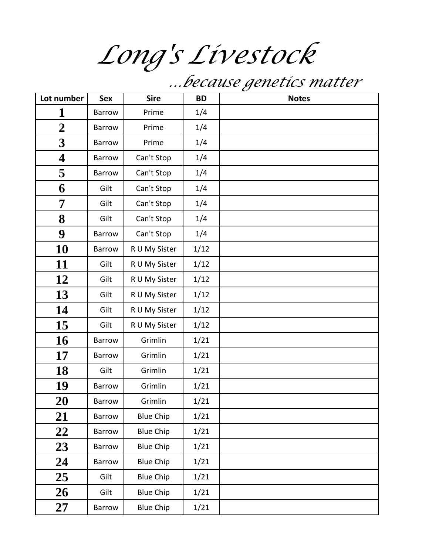*Long's Livestock*

 *…because genetics matter*

| Lot number              | <b>Sex</b>    | <b>Sire</b>      | <b>BD</b> | <b>Notes</b> |
|-------------------------|---------------|------------------|-----------|--------------|
| 1                       | Barrow        | Prime            | 1/4       |              |
| $\overline{2}$          | Barrow        | Prime            | 1/4       |              |
| $\overline{\mathbf{3}}$ | Barrow        | Prime            | 1/4       |              |
| $\overline{\mathbf{4}}$ | Barrow        | Can't Stop       | 1/4       |              |
| 5                       | Barrow        | Can't Stop       | 1/4       |              |
| 6                       | Gilt          | Can't Stop       | 1/4       |              |
| 7                       | Gilt          | Can't Stop       | 1/4       |              |
| 8                       | Gilt          | Can't Stop       | 1/4       |              |
| 9                       | Barrow        | Can't Stop       | 1/4       |              |
| 10                      | Barrow        | R U My Sister    | 1/12      |              |
| 11                      | Gilt          | R U My Sister    | 1/12      |              |
| 12                      | Gilt          | R U My Sister    | 1/12      |              |
| 13                      | Gilt          | R U My Sister    | 1/12      |              |
| 14                      | Gilt          | R U My Sister    | 1/12      |              |
| 15                      | Gilt          | R U My Sister    | 1/12      |              |
| 16                      | Barrow        | Grimlin          | 1/21      |              |
| 17                      | Barrow        | Grimlin          | 1/21      |              |
| 18                      | Gilt          | Grimlin          | 1/21      |              |
| 19                      | Barrow        | Grimlin          | 1/21      |              |
| 20                      | <b>Barrow</b> | Grimlin          | 1/21      |              |
| 21                      | Barrow        | <b>Blue Chip</b> | 1/21      |              |
| 22                      | Barrow        | <b>Blue Chip</b> | 1/21      |              |
| 23                      | Barrow        | <b>Blue Chip</b> | 1/21      |              |
| 24                      | Barrow        | <b>Blue Chip</b> | 1/21      |              |
| 25                      | Gilt          | <b>Blue Chip</b> | 1/21      |              |
| 26                      | Gilt          | <b>Blue Chip</b> | 1/21      |              |
| 27                      | Barrow        | <b>Blue Chip</b> | 1/21      |              |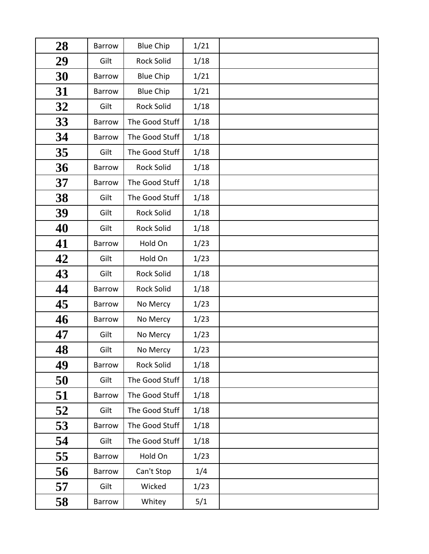| 28 | Barrow        | <b>Blue Chip</b>  | 1/21 |  |
|----|---------------|-------------------|------|--|
| 29 | Gilt          | <b>Rock Solid</b> | 1/18 |  |
| 30 | Barrow        | <b>Blue Chip</b>  | 1/21 |  |
| 31 | Barrow        | <b>Blue Chip</b>  | 1/21 |  |
| 32 | Gilt          | <b>Rock Solid</b> | 1/18 |  |
| 33 | <b>Barrow</b> | The Good Stuff    | 1/18 |  |
| 34 | Barrow        | The Good Stuff    | 1/18 |  |
| 35 | Gilt          | The Good Stuff    | 1/18 |  |
| 36 | Barrow        | <b>Rock Solid</b> | 1/18 |  |
| 37 | <b>Barrow</b> | The Good Stuff    | 1/18 |  |
| 38 | Gilt          | The Good Stuff    | 1/18 |  |
| 39 | Gilt          | <b>Rock Solid</b> | 1/18 |  |
| 40 | Gilt          | <b>Rock Solid</b> | 1/18 |  |
| 41 | Barrow        | Hold On           | 1/23 |  |
| 42 | Gilt          | Hold On           | 1/23 |  |
| 43 | Gilt          | <b>Rock Solid</b> | 1/18 |  |
| 44 | Barrow        | <b>Rock Solid</b> | 1/18 |  |
| 45 | Barrow        | No Mercy          | 1/23 |  |
| 46 | Barrow        | No Mercy          | 1/23 |  |
| 47 | Gilt          | No Mercy          | 1/23 |  |
| 48 | Gilt          | No Mercy          | 1/23 |  |
| 49 | <b>Barrow</b> | <b>Rock Solid</b> | 1/18 |  |
| 50 | Gilt          | The Good Stuff    | 1/18 |  |
| 51 | Barrow        | The Good Stuff    | 1/18 |  |
| 52 | Gilt          | The Good Stuff    | 1/18 |  |
| 53 | Barrow        | The Good Stuff    | 1/18 |  |
| 54 | Gilt          | The Good Stuff    | 1/18 |  |
| 55 | <b>Barrow</b> | Hold On           | 1/23 |  |
| 56 | Barrow        | Can't Stop        | 1/4  |  |
| 57 | Gilt          | Wicked            | 1/23 |  |
| 58 | Barrow        | Whitey            | 5/1  |  |